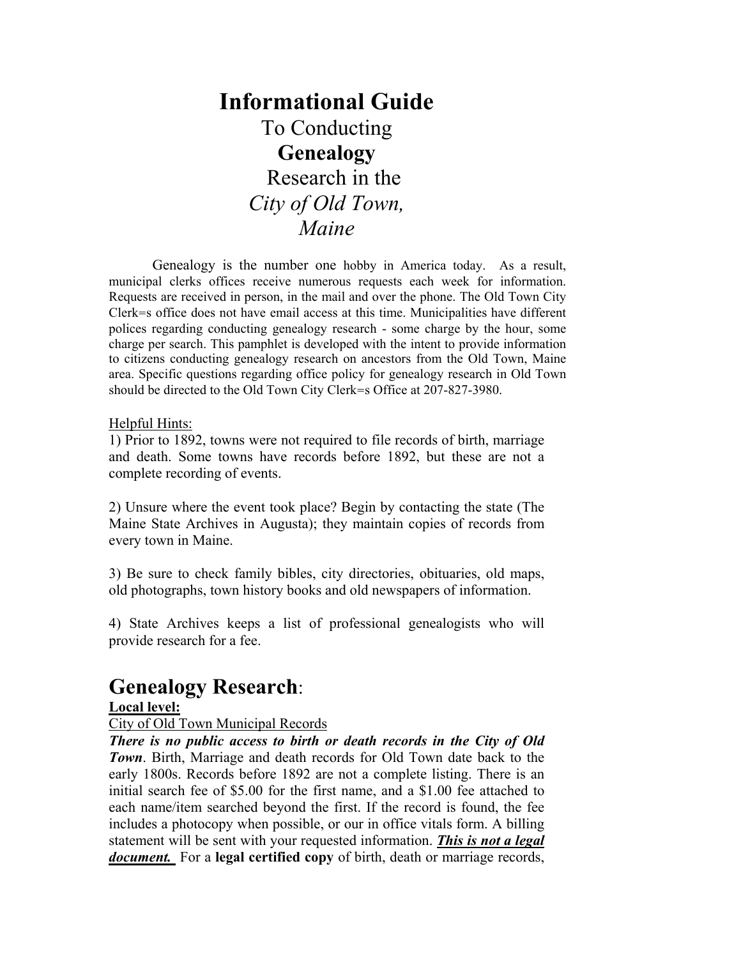# **Informational Guide**  To Conducting **Genealogy**  Research in the *City of Old Town, Maine*

Genealogy is the number one hobby in America today. As a result, municipal clerks offices receive numerous requests each week for information. Requests are received in person, in the mail and over the phone. The Old Town City Clerk=s office does not have email access at this time. Municipalities have different polices regarding conducting genealogy research - some charge by the hour, some charge per search. This pamphlet is developed with the intent to provide information to citizens conducting genealogy research on ancestors from the Old Town, Maine area. Specific questions regarding office policy for genealogy research in Old Town should be directed to the Old Town City Clerk=s Office at 207-827-3980.

#### Helpful Hints:

1) Prior to 1892, towns were not required to file records of birth, marriage and death. Some towns have records before 1892, but these are not a complete recording of events.

2) Unsure where the event took place? Begin by contacting the state (The Maine State Archives in Augusta); they maintain copies of records from every town in Maine.

3) Be sure to check family bibles, city directories, obituaries, old maps, old photographs, town history books and old newspapers of information.

4) State Archives keeps a list of professional genealogists who will provide research for a fee.

## **Genealogy Research**:

#### **Local level:**

#### City of Old Town Municipal Records

*There is no public access to birth or death records in the City of Old Town*. Birth, Marriage and death records for Old Town date back to the early 1800s. Records before 1892 are not a complete listing. There is an initial search fee of \$5.00 for the first name, and a \$1.00 fee attached to each name/item searched beyond the first. If the record is found, the fee includes a photocopy when possible, or our in office vitals form. A billing statement will be sent with your requested information. *This is not a legal document.* For a **legal certified copy** of birth, death or marriage records,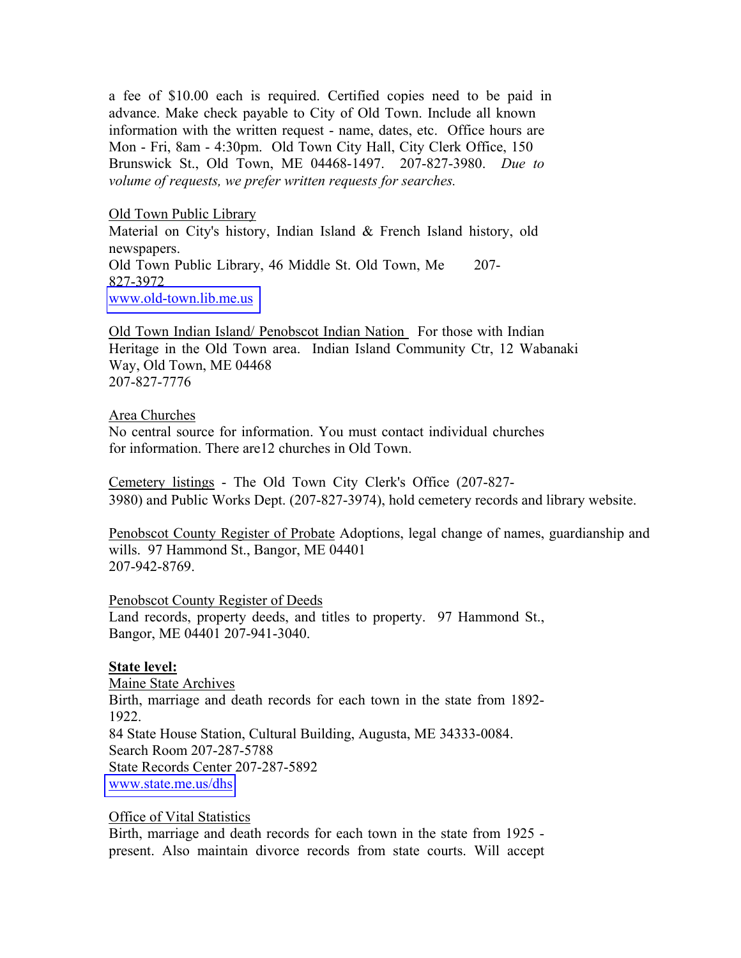a fee of \$10.00 each is required. Certified copies need to be paid in advance. Make check payable to City of Old Town. Include all known information with the written request - name, dates, etc. Office hours are Mon - Fri, 8am - 4:30pm. Old Town City Hall, City Clerk Office, 150 Brunswick St., Old Town, ME 04468-1497. 207-827-3980. *Due to volume of requests, we prefer written requests for searches.*

Old Town Public Library Material on City's history, Indian Island & French Island history, old newspapers. Old Town Public Library, 46 Middle St. Old Town, Me 207- 827-3972 [www.old-town.lib.me.us](http://www.old-town.lib.me.us)

Old Town Indian Island/ Penobscot Indian Nation For those with Indian Heritage in the Old Town area. Indian Island Community Ctr, 12 Wabanaki Way, Old Town, ME 04468 207-827-7776

#### Area Churches

No central source for information. You must contact individual churches for information. There are12 churches in Old Town.

Cemetery listings - The Old Town City Clerk's Office (207-827- 3980) and Public Works Dept. (207-827-3974), hold cemetery records and library website.

Penobscot County Register of Probate Adoptions, legal change of names, guardianship and wills. 97 Hammond St., Bangor, ME 04401 207-942-8769.

Penobscot County Register of Deeds

Land records, property deeds, and titles to property. 97 Hammond St., Bangor, ME 04401 207-941-3040.

#### **State level:**

Maine State Archives Birth, marriage and death records for each town in the state from 1892- 1922. 84 State House Station, Cultural Building, Augusta, ME 34333-0084. Search Room 207-287-5788 State Records Center 207-287-5892 [www.state.me.us/dhs](www.state.me.us/dh)

#### Office of Vital Statistics

Birth, marriage and death records for each town in the state from 1925 present. Also maintain divorce records from state courts. Will accept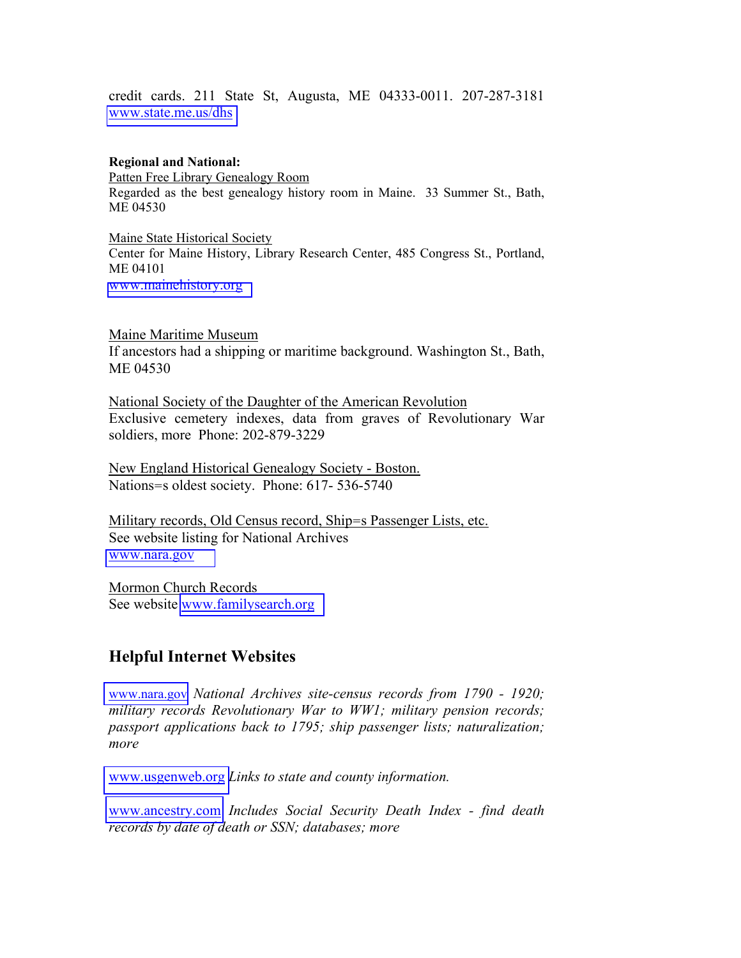credit cards. 211 State St, Augusta, ME 04333-0011. 207-287-3181 <www.state.me.us/dhs>

**Regional and National:**  Patten Free Library Genealogy Room Regarded as the best genealogy history room in Maine. 33 Summer St., Bath, ME 04530

Maine State Historical Society Center for Maine History, Library Research Center, 485 Congress St., Portland, ME 04101 <www.mainehistory.org>

Maine Maritime Museum If ancestors had a shipping or maritime background. Washington St., Bath, ME 04530

National Society of the Daughter of the American Revolution Exclusive cemetery indexes, data from graves of Revolutionary War soldiers, more Phone: 202-879-3229

New England Historical Genealogy Society - Boston. Nations=s oldest society. Phone: 617- 536-5740

Military records, Old Census record, Ship=s Passenger Lists, etc. See website listing for National Archives <www.nara.gov>

Mormon Church Records Seewebsite [www.familysearch.org](http://www.familysearch.org/)

### **Helpful Internet Websites**

<www.nara.gov> *National Archives site-census records from 1790 - 1920; military records Revolutionary War to WW1; military pension records; passport applications back to 1795; ship passenger lists; naturalization; more* 

<www.usgenweb.org> *Links to state and county information.* 

<www.ancestry.com> *Includes Social Security Death Index - find death records by date of death or SSN; databases; more*